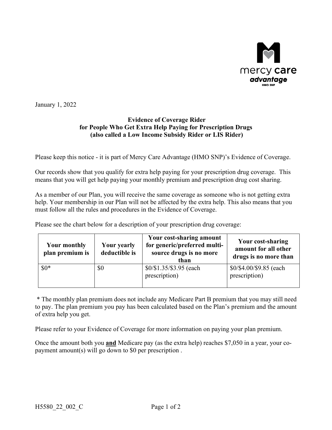

January 1, 2022

## **Evidence of Coverage Rider for People Who Get Extra Help Paying for Prescription Drugs (also called a Low Income Subsidy Rider or LIS Rider)**

Please keep this notice - it is part of Mercy Care Advantage (HMO SNP)'s Evidence of Coverage.

Our records show that you qualify for extra help paying for your prescription drug coverage. This means that you will get help paying your monthly premium and prescription drug cost sharing.

As a member of our Plan, you will receive the same coverage as someone who is not getting extra help. Your membership in our Plan will not be affected by the extra help. This also means that you must follow all the rules and procedures in the Evidence of Coverage.

Please see the chart below for a description of your prescription drug coverage:

| <b>Your monthly</b><br>plan premium is | <b>Your yearly</b><br>deductible is | Your cost-sharing amount<br>for generic/preferred multi-<br>source drugs is no more<br>than | Your cost-sharing<br>amount for all other<br>drugs is no more than |
|----------------------------------------|-------------------------------------|---------------------------------------------------------------------------------------------|--------------------------------------------------------------------|
| $$0*$                                  | \$0                                 | \$0/\$1.35/\$3.95 (each<br>prescription)                                                    | \$0/\$4.00/\$9.85 (each<br>prescription)                           |

\* The monthly plan premium does not include any Medicare Part B premium that you may still need to pay. The plan premium you pay has been calculated based on the Plan's premium and the amount of extra help you get.

Please refer to your Evidence of Coverage for more information on paying your plan premium.

Once the amount both you **and** Medicare pay (as the extra help) reaches \$7,050 in a year, your copayment amount(s) will go down to \$0 per prescription .